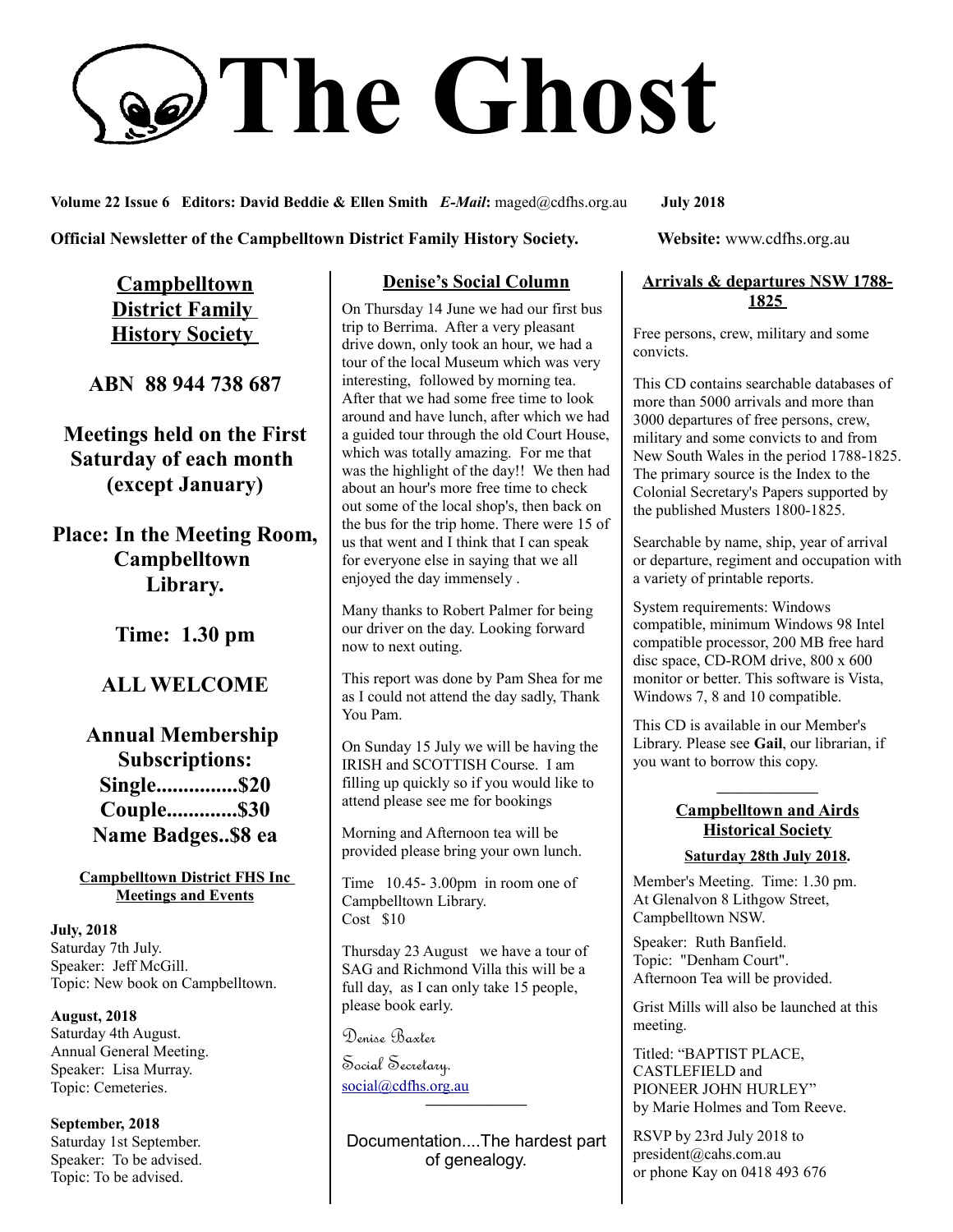# **The Ghost**

**Volume 22 Issue 6 Editors: David Beddie & Ellen Smith** *E-Mail***:** maged@cdfhs.org.au **July 2018**

**Official Newsletter of the Campbelltown District Family History Society. Website: www.cdfhs.org.au** 

**Campbelltown District Family History Society** 

**ABN 88 944 738 687**

**Meetings held on the First Saturday of each month (except January)**

**Place: In the Meeting Room, Campbelltown Library.**

**Time: 1.30 pm**

# **ALL WELCOME**

**Annual Membership Subscriptions: Single...............\$20 Couple.............\$30 Name Badges..\$8 ea**

**Campbelltown District FHS Inc Meetings and Events**

**July, 2018** Saturday 7th July. Speaker: Jeff McGill. Topic: New book on Campbelltown.

**August, 2018** Saturday 4th August. Annual General Meeting. Speaker: Lisa Murray. Topic: Cemeteries.

**September, 2018** Saturday 1st September. Speaker: To be advised. Topic: To be advised.

# **Denise's Social Column**

On Thursday 14 June we had our first bus trip to Berrima. After a very pleasant drive down, only took an hour, we had a tour of the local Museum which was very interesting, followed by morning tea. After that we had some free time to look around and have lunch, after which we had a guided tour through the old Court House, which was totally amazing. For me that was the highlight of the day!! We then had about an hour's more free time to check out some of the local shop's, then back on the bus for the trip home. There were 15 of us that went and I think that I can speak for everyone else in saying that we all enjoyed the day immensely .

Many thanks to Robert Palmer for being our driver on the day. Looking forward now to next outing.

This report was done by Pam Shea for me as I could not attend the day sadly, Thank You Pam.

On Sunday 15 July we will be having the IRISH and SCOTTISH Course. I am filling up quickly so if you would like to attend please see me for bookings

Morning and Afternoon tea will be provided please bring your own lunch.

Time 10.45- 3.00pm in room one of Campbelltown Library.  $Cost$  \$10

Thursday 23 August we have a tour of SAG and Richmond Villa this will be a full day, as I can only take 15 people, please book early.

Denise Baxter

Social Secretary. [social@cdfhs.org.au](mailto:social@cdfhs.org.au) **——————–**

Documentation....The hardest part of genealogy.

### **Arrivals & departures NSW 1788- 1825**

Free persons, crew, military and some convicts.

This CD contains searchable databases of more than 5000 arrivals and more than 3000 departures of free persons, crew, military and some convicts to and from New South Wales in the period 1788-1825. The primary source is the Index to the Colonial Secretary's Papers supported by the published Musters 1800-1825.

Searchable by name, ship, year of arrival or departure, regiment and occupation with a variety of printable reports.

System requirements: Windows compatible, minimum Windows 98 Intel compatible processor, 200 MB free hard disc space, CD-ROM drive, 800 x 600 monitor or better. This software is Vista, Windows 7, 8 and 10 compatible.

This CD is available in our Member's Library. Please see **Gail**, our librarian, if you want to borrow this copy.

### **——————– Campbelltown and Airds Historical Society Saturday 28th July 2018.**

Member's Meeting. Time: 1.30 pm. At Glenalvon 8 Lithgow Street, Campbelltown NSW.

Speaker: Ruth Banfield. Topic: "Denham Court". Afternoon Tea will be provided.

Grist Mills will also be launched at this meeting.

Titled: "BAPTIST PLACE, CASTLEFIELD and PIONEER JOHN HURLEY" by Marie Holmes and Tom Reeve.

RSVP by 23rd July 2018 to president@cahs.com.au or phone Kay on 0418 493 676